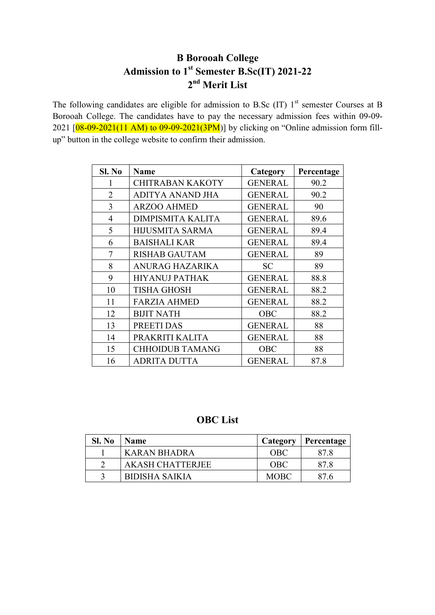## **B Borooah College Admission to 1st Semester B.Sc(IT) 2021-22 nd Merit List**

The following candidates are eligible for admission to B.Sc (IT)  $1<sup>st</sup>$  semester Courses at B Borooah College. The candidates have to pay the necessary admission fees within 09-09- 2021  $[08-09-2021(11 AM)$  to  $09-09-2021(3PM)]$  by clicking on "Online admission form fillup" button in the college website to confirm their admission.

| Sl. No         | <b>Name</b>              | Category       | Percentage |
|----------------|--------------------------|----------------|------------|
| 1              | <b>CHITRABAN KAKOTY</b>  | <b>GENERAL</b> | 90.2       |
| $\mathfrak{D}$ | ADITYA ANAND JHA         | <b>GENERAL</b> | 90.2       |
| 3              | <b>ARZOO AHMED</b>       | <b>GENERAL</b> | 90         |
| $\overline{4}$ | <b>DIMPISMITA KALITA</b> | <b>GENERAL</b> | 89.6       |
| 5              | <b>HIJUSMITA SARMA</b>   | <b>GENERAL</b> | 89.4       |
| 6              | <b>BAISHALI KAR</b>      | <b>GENERAL</b> | 89.4       |
| 7              | <b>RISHAB GAUTAM</b>     | <b>GENERAL</b> | 89         |
| 8              | <b>ANURAG HAZARIKA</b>   | <b>SC</b>      | 89         |
| 9              | <b>HIYANUJ PATHAK</b>    | <b>GENERAL</b> | 88.8       |
| 10             | <b>TISHA GHOSH</b>       | <b>GENERAL</b> | 88.2       |
| 11             | <b>FARZIA AHMED</b>      | <b>GENERAL</b> | 88.2       |
| 12             | <b>BIJIT NATH</b>        | <b>OBC</b>     | 88.2       |
| 13             | PREETI DAS               | <b>GENERAL</b> | 88         |
| 14             | PRAKRITI KALITA          | <b>GENERAL</b> | 88         |
| 15             | <b>CHHOIDUB TAMANG</b>   | <b>OBC</b>     | 88         |
| 16             | <b>ADRITA DUTTA</b>      | <b>GENERAL</b> | 87.8       |

## **OBC List**

| Sl. No | <b>Name</b>             | Category    | Percentage |
|--------|-------------------------|-------------|------------|
|        | KARAN BHADRA            | OBC         | 878        |
|        | <b>AKASH CHATTERJEE</b> | <b>OBC</b>  | 87.8       |
|        | <b>BIDISHA SAIKIA</b>   | <b>MOBC</b> | 87.6       |